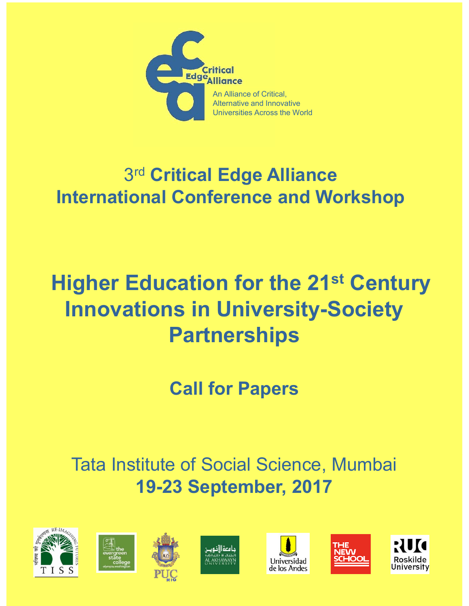

## 3rd Critical Edge Alliance **International Conference and Workshop**

# **Higher Education for the 21st Century Innovations in University-Society Partnerships**

**Call for Papers** 

**Tata Institute of Social Science, Mumbai 19-23 September, 2017** 











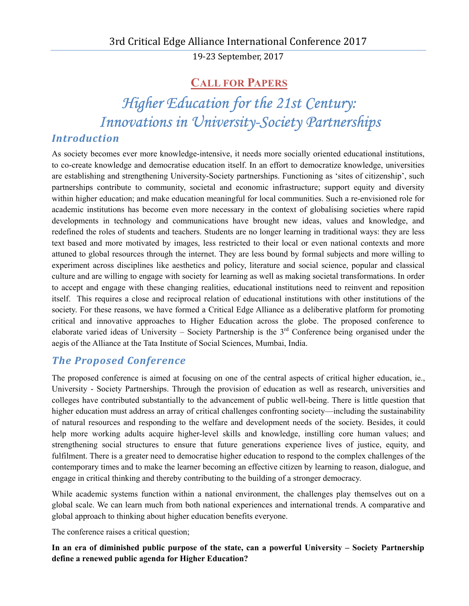19‐23 September, 2017

## **CALL FOR PAPERS**

*Higher Education for the 21st Century: Innovations in University-Society Partnerships* 

## *Introduction*

As society becomes ever more knowledge-intensive, it needs more socially oriented educational institutions, to co-create knowledge and democratise education itself. In an effort to democratize knowledge, universities are establishing and strengthening University-Society partnerships. Functioning as 'sites of citizenship', such partnerships contribute to community, societal and economic infrastructure; support equity and diversity within higher education; and make education meaningful for local communities. Such a re-envisioned role for academic institutions has become even more necessary in the context of globalising societies where rapid developments in technology and communications have brought new ideas, values and knowledge, and redefined the roles of students and teachers. Students are no longer learning in traditional ways: they are less text based and more motivated by images, less restricted to their local or even national contexts and more attuned to global resources through the internet. They are less bound by formal subjects and more willing to experiment across disciplines like aesthetics and policy, literature and social science, popular and classical culture and are willing to engage with society for learning as well as making societal transformations. In order to accept and engage with these changing realities, educational institutions need to reinvent and reposition itself. This requires a close and reciprocal relation of educational institutions with other institutions of the society. For these reasons, we have formed a Critical Edge Alliance as a deliberative platform for promoting critical and innovative approaches to Higher Education across the globe. The proposed conference to elaborate varied ideas of University – Society Partnership is the  $3<sup>rd</sup>$  Conference being organised under the aegis of the Alliance at the Tata Institute of Social Sciences, Mumbai, India.

## *The Proposed Conference*

The proposed conference is aimed at focusing on one of the central aspects of critical higher education, ie., University - Society Partnerships. Through the provision of education as well as research, universities and colleges have contributed substantially to the advancement of public well-being. There is little question that higher education must address an array of critical challenges confronting society—including the sustainability of natural resources and responding to the welfare and development needs of the society. Besides, it could help more working adults acquire higher-level skills and knowledge, instilling core human values; and strengthening social structures to ensure that future generations experience lives of justice, equity, and fulfilment. There is a greater need to democratise higher education to respond to the complex challenges of the contemporary times and to make the learner becoming an effective citizen by learning to reason, dialogue, and engage in critical thinking and thereby contributing to the building of a stronger democracy.

While academic systems function within a national environment, the challenges play themselves out on a global scale. We can learn much from both national experiences and international trends. A comparative and global approach to thinking about higher education benefits everyone.

The conference raises a critical question;

**In an era of diminished public purpose of the state, can a powerful University – Society Partnership define a renewed public agenda for Higher Education?**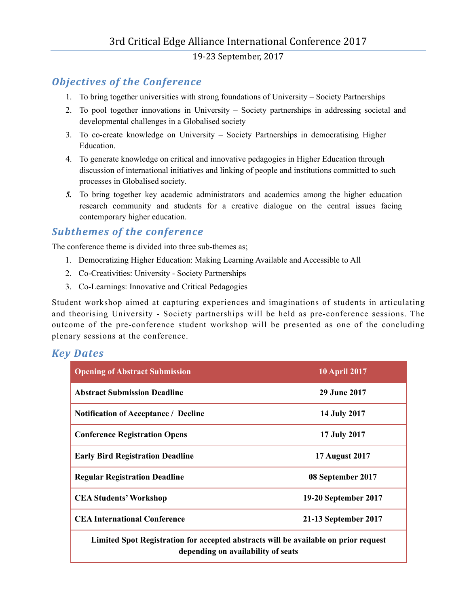19‐23 September, 2017

## *Objectives of the Conference*

- 1. To bring together universities with strong foundations of University Society Partnerships
- 2. To pool together innovations in University Society partnerships in addressing societal and developmental challenges in a Globalised society
- 3. To co-create knowledge on University Society Partnerships in democratising Higher Education.
- 4. To generate knowledge on critical and innovative pedagogies in Higher Education through discussion of international initiatives and linking of people and institutions committed to such processes in Globalised society.
- *5.* To bring together key academic administrators and academics among the higher education research community and students for a creative dialogue on the central issues facing contemporary higher education.

## *Subthemes of the conference*

The conference theme is divided into three sub-themes as;

- 1. Democratizing Higher Education: Making Learning Available and Accessible to All
- 2. Co-Creativities: University Society Partnerships
- 3. Co-Learnings: Innovative and Critical Pedagogies

Student workshop aimed at capturing experiences and imaginations of students in articulating and theorising University - Society partnerships will be held as pre-conference sessions. The outcome of the pre-conference student workshop will be presented as one of the concluding plenary sessions at the conference.

#### *Key Dates*

| <b>Opening of Abstract Submission</b>                                                                                                                                                                                                                                                                                                                                 | <b>10 April 2017</b>  |  |  |
|-----------------------------------------------------------------------------------------------------------------------------------------------------------------------------------------------------------------------------------------------------------------------------------------------------------------------------------------------------------------------|-----------------------|--|--|
| <b>Abstract Submission Deadline</b>                                                                                                                                                                                                                                                                                                                                   | <b>29 June 2017</b>   |  |  |
| <b>Notification of Acceptance / Decline</b>                                                                                                                                                                                                                                                                                                                           | 14 July 2017          |  |  |
| <b>Conference Registration Opens</b>                                                                                                                                                                                                                                                                                                                                  | 17 July 2017          |  |  |
| <b>Early Bird Registration Deadline</b>                                                                                                                                                                                                                                                                                                                               | <b>17 August 2017</b> |  |  |
| <b>Regular Registration Deadline</b>                                                                                                                                                                                                                                                                                                                                  | 08 September 2017     |  |  |
| <b>CEA Students' Workshop</b>                                                                                                                                                                                                                                                                                                                                         | 19-20 September 2017  |  |  |
| <b>CEA International Conference</b>                                                                                                                                                                                                                                                                                                                                   | 21-13 September 2017  |  |  |
| Limited Spot Registration for accepted abstracts will be available on prior request<br>$\mathbf{r}$ and the contract of the contract of the contract of the contract of the contract of the contract of the contract of the contract of the contract of the contract of the contract of the contract of the contract of<br>$\mathbf{a}$ , $\mathbf{a}$ , $\mathbf{a}$ |                       |  |  |

**depending on availability of seats**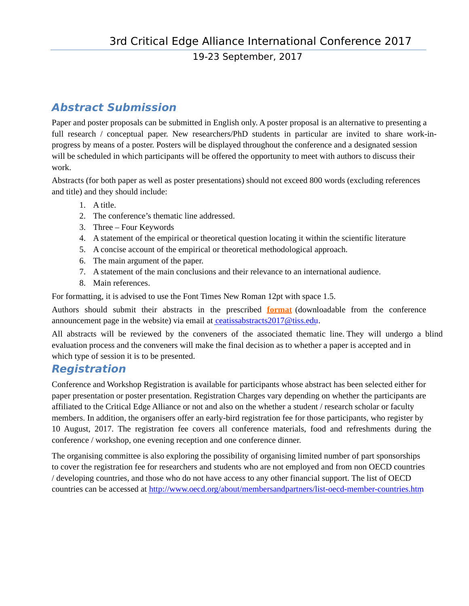## **Abstract Submission**

Paper and poster proposals can be submitted in English only. A poster proposal is an alternative to presenting a full research / conceptual paper. New researchers/PhD students in particular are invited to share work-inprogress by means of a poster. Posters will be displayed throughout the conference and a designated session will be scheduled in which participants will be offered the opportunity to meet with authors to discuss their work.

Abstracts (for both paper as well as poster presentations) should not exceed 800 words (excluding references and title) and they should include:

- 1. A title.
- 2. The conference's thematic line addressed.
- 3. Three Four Keywords
- 4. A statement of the empirical or theoretical question locating it within the scientific literature
- 5. A concise account of the empirical or theoretical methodological approach.
- 6. The main argument of the paper.
- 7. A statement of the main conclusions and their relevance to an international audience.
- 8. Main references.

For formatting, it is advised to use the Font Times New Roman 12pt with space 1.5.

Authors should submit their abstracts in the prescribed **[format](http://www.tiss.edu/uploads/files/AbstractFormatCEAC.doc)** (downloadable from the conference announcement page in the website) via email at ceatissabstracts $2017\omega$ tiss.edu.

All abstracts will be reviewed by the conveners of the associated thematic line. They will undergo a blind evaluation process and the conveners will make the final decision as to whether a paper is accepted and in which type of session it is to be presented.

## **Registration**

Conference and Workshop Registration is available for participants whose abstract has been selected either for paper presentation or poster presentation. Registration Charges vary depending on whether the participants are affiliated to the Critical Edge Alliance or not and also on the whether a student / research scholar or faculty members. In addition, the organisers offer an early-bird registration fee for those participants, who register by 10 August, 2017. The registration fee covers all conference materials, food and refreshments during the conference / workshop, one evening reception and one conference dinner.

The organising committee is also exploring the possibility of organising limited number of part sponsorships to cover the registration fee for researchers and students who are not employed and from non OECD countries / developing countries, and those who do not have access to any other financial support. The list of OECD countries can be accessed at http://www.oecd.org/about/membersandpartners/list-oecd-member-countries.htm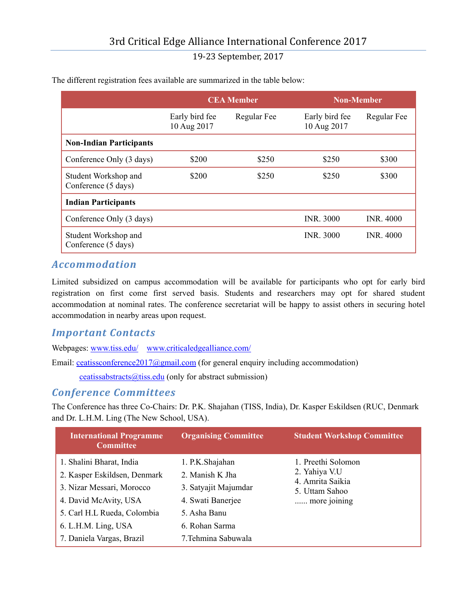|                                             | <b>CEA Member</b>             |             | <b>Non-Member</b>             |                  |
|---------------------------------------------|-------------------------------|-------------|-------------------------------|------------------|
|                                             | Early bird fee<br>10 Aug 2017 | Regular Fee | Early bird fee<br>10 Aug 2017 | Regular Fee      |
| <b>Non-Indian Participants</b>              |                               |             |                               |                  |
| Conference Only (3 days)                    | \$200                         | \$250       | \$250                         | \$300            |
| Student Workshop and<br>Conference (5 days) | \$200                         | \$250       | \$250                         | \$300            |
| <b>Indian Participants</b>                  |                               |             |                               |                  |
| Conference Only (3 days)                    |                               |             | <b>INR. 3000</b>              | <b>INR. 4000</b> |
| Student Workshop and<br>Conference (5 days) |                               |             | <b>INR. 3000</b>              | <b>INR. 4000</b> |

The different registration fees available are summarized in the table below:

## *Accommodation*

Limited subsidized on campus accommodation will be available for participants who opt for early bird registration on first come first served basis. Students and researchers may opt for shared student accommodation at nominal rates. The conference secretariat will be happy to assist others in securing hotel accommodation in nearby areas upon request.

### *Important Contacts*

Webpages: www.tiss.edu/ www.criticaledgealliance.com/

Email: ceatissconference2017@gmail.com (for general enquiry including accommodation)

ceatissabstracts $@t$  iss.edu (only for abstract submission)

#### *Conference Committees*

The Conference has three Co-Chairs: Dr. P.K. Shajahan (TISS, India), Dr. Kasper Eskildsen (RUC, Denmark and Dr. L.H.M. Ling (The New School, USA).

| <b>International Programme</b><br><b>Committee</b>                                                                                                                                                | <b>Organising Committee</b>                                                                                                              | <b>Student Workshop Committee</b>                                                         |
|---------------------------------------------------------------------------------------------------------------------------------------------------------------------------------------------------|------------------------------------------------------------------------------------------------------------------------------------------|-------------------------------------------------------------------------------------------|
| 1. Shalini Bharat, India<br>2. Kasper Eskildsen, Denmark<br>3. Nizar Messari, Morocco<br>4. David McAvity, USA<br>5. Carl H.L Rueda, Colombia<br>6. L.H.M. Ling, USA<br>7. Daniela Vargas, Brazil | 1. P.K.Shajahan<br>2. Manish K Jha<br>3. Satyajit Majumdar<br>4. Swati Banerjee<br>5. Asha Banu<br>6. Rohan Sarma<br>7. Tehmina Sabuwala | 1. Preethi Solomon<br>2. Yahiya V.U<br>4. Amrita Saikia<br>5. Uttam Sahoo<br>more joining |